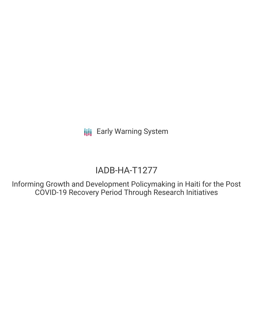**III** Early Warning System

# IADB-HA-T1277

Informing Growth and Development Policymaking in Haiti for the Post COVID-19 Recovery Period Through Research Initiatives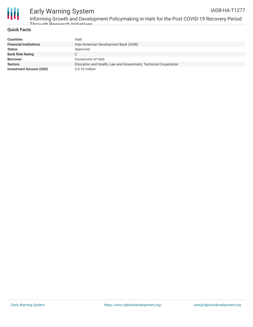

## Early Warning System IADB-HA-T1277

Informing Growth and Development Policymaking in Haiti for the Post COVID-19 Recovery Period Through Research Initiatives

# **Quick Facts**

| <b>Countries</b>               | Haiti                                                           |
|--------------------------------|-----------------------------------------------------------------|
| <b>Financial Institutions</b>  | Inter-American Development Bank (IADB)                          |
| <b>Status</b>                  | Approved                                                        |
| <b>Bank Risk Rating</b>        |                                                                 |
| <b>Borrower</b>                | Govenment of Haiti                                              |
| <b>Sectors</b>                 | Education and Health, Law and Government, Technical Cooperation |
| <b>Investment Amount (USD)</b> | \$0.10 million                                                  |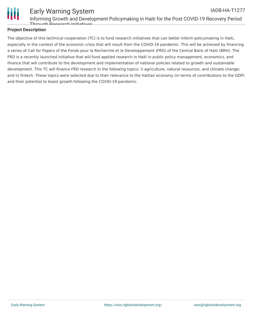

#### Early Warning System Informing Growth and Development Policymaking in Haiti for the Post COVID-19 Recovery Period Through Decearch Initiatives IADB-HA-T1277

## **Project Description**

The objective of this technical cooperation (TC) is to fund research initiatives that can better inform policymaking in Haiti, especially in the context of the economic crisis that will result from the COVID-19 pandemic. This will be achieved by financing a series of Call for Papers of the Fonds pour la Recherche et le Developpement (FRD) of the Central Bank of Haiti (BRH). The FRD is a recently launched initiative that will fund applied research in Haiti in public policy management, economics, and finance that will contribute to the development and implementation of national policies related to growth and sustainable development. This TC will finance FRD research in the following topics: i) agriculture, natural resources, and climate change; and ii) fintech. These topics were selected due to their relevance to the Haitian economy (in terms of contributions to the GDP) and their potential to boost growth following the COVID-19 pandemic.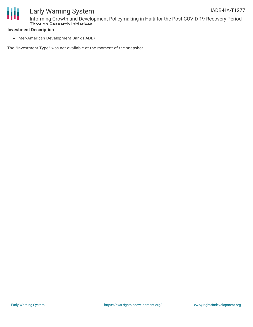

### **Investment Description**

• Inter-American Development Bank (IADB)

The "Investment Type" was not available at the moment of the snapshot.